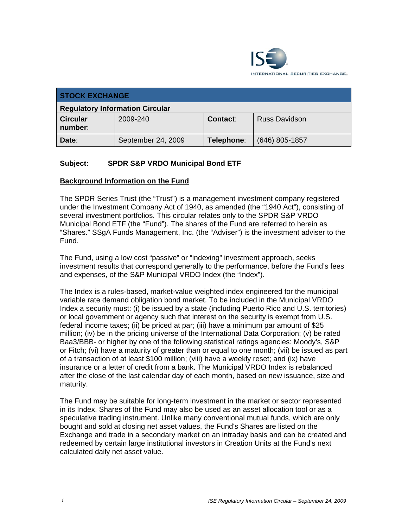

| <b>STOCK EXCHANGE</b>                  |                    |            |                      |  |  |
|----------------------------------------|--------------------|------------|----------------------|--|--|
| <b>Regulatory Information Circular</b> |                    |            |                      |  |  |
| <b>Circular</b><br>number:             | 2009-240           | Contact:   | <b>Russ Davidson</b> |  |  |
| Date:                                  | September 24, 2009 | Telephone: | (646) 805-1857       |  |  |

## **Subject: SPDR S&P VRDO Municipal Bond ETF**

## **Background Information on the Fund**

The SPDR Series Trust (the "Trust") is a management investment company registered under the Investment Company Act of 1940, as amended (the "1940 Act"), consisting of several investment portfolios. This circular relates only to the SPDR S&P VRDO Municipal Bond ETF (the "Fund"). The shares of the Fund are referred to herein as "Shares." SSgA Funds Management, Inc. (the "Adviser") is the investment adviser to the Fund.

The Fund, using a low cost "passive" or "indexing" investment approach, seeks investment results that correspond generally to the performance, before the Fund's fees and expenses, of the S&P Municipal VRDO Index (the "Index").

The Index is a rules-based, market-value weighted index engineered for the municipal variable rate demand obligation bond market. To be included in the Municipal VRDO Index a security must: (i) be issued by a state (including Puerto Rico and U.S. territories) or local government or agency such that interest on the security is exempt from U.S. federal income taxes; (ii) be priced at par; (iii) have a minimum par amount of \$25 million; (iv) be in the pricing universe of the International Data Corporation; (v) be rated Baa3/BBB- or higher by one of the following statistical ratings agencies: Moody's, S&P or Fitch; (vi) have a maturity of greater than or equal to one month; (vii) be issued as part of a transaction of at least \$100 million; (viii) have a weekly reset; and (ix) have insurance or a letter of credit from a bank. The Municipal VRDO Index is rebalanced after the close of the last calendar day of each month, based on new issuance, size and maturity.

The Fund may be suitable for long-term investment in the market or sector represented in its Index. Shares of the Fund may also be used as an asset allocation tool or as a speculative trading instrument. Unlike many conventional mutual funds, which are only bought and sold at closing net asset values, the Fund's Shares are listed on the Exchange and trade in a secondary market on an intraday basis and can be created and redeemed by certain large institutional investors in Creation Units at the Fund's next calculated daily net asset value.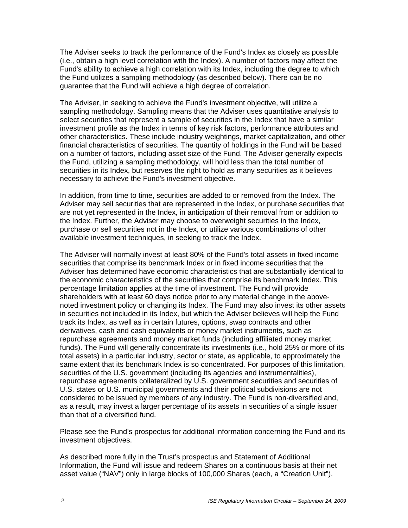The Adviser seeks to track the performance of the Fund's Index as closely as possible (i.e., obtain a high level correlation with the Index). A number of factors may affect the Fund's ability to achieve a high correlation with its Index, including the degree to which the Fund utilizes a sampling methodology (as described below). There can be no guarantee that the Fund will achieve a high degree of correlation.

The Adviser, in seeking to achieve the Fund's investment objective, will utilize a sampling methodology. Sampling means that the Adviser uses quantitative analysis to select securities that represent a sample of securities in the Index that have a similar investment profile as the Index in terms of key risk factors, performance attributes and other characteristics. These include industry weightings, market capitalization, and other financial characteristics of securities. The quantity of holdings in the Fund will be based on a number of factors, including asset size of the Fund. The Adviser generally expects the Fund, utilizing a sampling methodology, will hold less than the total number of securities in its Index, but reserves the right to hold as many securities as it believes necessary to achieve the Fund's investment objective.

In addition, from time to time, securities are added to or removed from the Index. The Adviser may sell securities that are represented in the Index, or purchase securities that are not yet represented in the Index, in anticipation of their removal from or addition to the Index. Further, the Adviser may choose to overweight securities in the Index, purchase or sell securities not in the Index, or utilize various combinations of other available investment techniques, in seeking to track the Index.

The Adviser will normally invest at least 80% of the Fund's total assets in fixed income securities that comprise its benchmark Index or in fixed income securities that the Adviser has determined have economic characteristics that are substantially identical to the economic characteristics of the securities that comprise its benchmark Index. This percentage limitation applies at the time of investment. The Fund will provide shareholders with at least 60 days notice prior to any material change in the abovenoted investment policy or changing its Index. The Fund may also invest its other assets in securities not included in its Index, but which the Adviser believes will help the Fund track its Index, as well as in certain futures, options, swap contracts and other derivatives, cash and cash equivalents or money market instruments, such as repurchase agreements and money market funds (including affiliated money market funds). The Fund will generally concentrate its investments (i.e., hold 25% or more of its total assets) in a particular industry, sector or state, as applicable, to approximately the same extent that its benchmark Index is so concentrated. For purposes of this limitation, securities of the U.S. government (including its agencies and instrumentalities), repurchase agreements collateralized by U.S. government securities and securities of U.S. states or U.S. municipal governments and their political subdivisions are not considered to be issued by members of any industry. The Fund is non-diversified and, as a result, may invest a larger percentage of its assets in securities of a single issuer than that of a diversified fund.

Please see the Fund's prospectus for additional information concerning the Fund and its investment objectives.

As described more fully in the Trust's prospectus and Statement of Additional Information, the Fund will issue and redeem Shares on a continuous basis at their net asset value ("NAV") only in large blocks of 100,000 Shares (each, a "Creation Unit").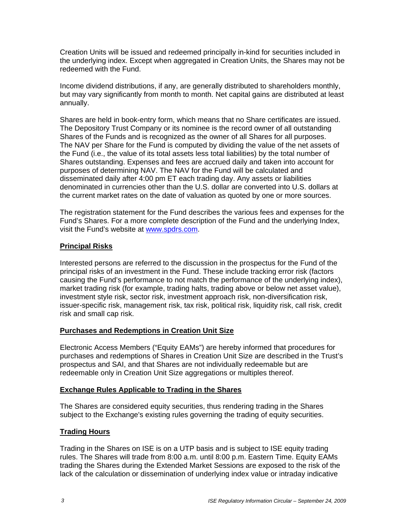Creation Units will be issued and redeemed principally in-kind for securities included in the underlying index. Except when aggregated in Creation Units, the Shares may not be redeemed with the Fund.

Income dividend distributions, if any, are generally distributed to shareholders monthly, but may vary significantly from month to month. Net capital gains are distributed at least annually.

Shares are held in book-entry form, which means that no Share certificates are issued. The Depository Trust Company or its nominee is the record owner of all outstanding Shares of the Funds and is recognized as the owner of all Shares for all purposes. The NAV per Share for the Fund is computed by dividing the value of the net assets of the Fund (i.e., the value of its total assets less total liabilities) by the total number of Shares outstanding. Expenses and fees are accrued daily and taken into account for purposes of determining NAV. The NAV for the Fund will be calculated and disseminated daily after 4:00 pm ET each trading day. Any assets or liabilities denominated in currencies other than the U.S. dollar are converted into U.S. dollars at the current market rates on the date of valuation as quoted by one or more sources.

The registration statement for the Fund describes the various fees and expenses for the Fund's Shares. For a more complete description of the Fund and the underlying Index, visit the Fund's website at www.spdrs.com.

## **Principal Risks**

Interested persons are referred to the discussion in the prospectus for the Fund of the principal risks of an investment in the Fund. These include tracking error risk (factors causing the Fund's performance to not match the performance of the underlying index), market trading risk (for example, trading halts, trading above or below net asset value), investment style risk, sector risk, investment approach risk, non-diversification risk, issuer-specific risk, management risk, tax risk, political risk, liquidity risk, call risk, credit risk and small cap risk.

## **Purchases and Redemptions in Creation Unit Size**

Electronic Access Members ("Equity EAMs") are hereby informed that procedures for purchases and redemptions of Shares in Creation Unit Size are described in the Trust's prospectus and SAI, and that Shares are not individually redeemable but are redeemable only in Creation Unit Size aggregations or multiples thereof.

#### **Exchange Rules Applicable to Trading in the Shares**

The Shares are considered equity securities, thus rendering trading in the Shares subject to the Exchange's existing rules governing the trading of equity securities.

## **Trading Hours**

Trading in the Shares on ISE is on a UTP basis and is subject to ISE equity trading rules. The Shares will trade from 8:00 a.m. until 8:00 p.m. Eastern Time. Equity EAMs trading the Shares during the Extended Market Sessions are exposed to the risk of the lack of the calculation or dissemination of underlying index value or intraday indicative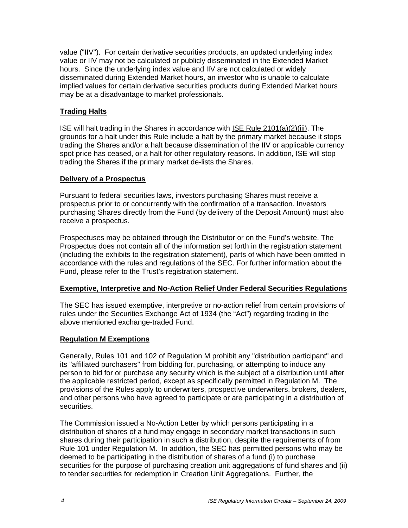value ("IIV"). For certain derivative securities products, an updated underlying index value or IIV may not be calculated or publicly disseminated in the Extended Market hours. Since the underlying index value and IIV are not calculated or widely disseminated during Extended Market hours, an investor who is unable to calculate implied values for certain derivative securities products during Extended Market hours may be at a disadvantage to market professionals.

## **Trading Halts**

ISE will halt trading in the Shares in accordance with ISE Rule 2101(a)(2)(iii). The grounds for a halt under this Rule include a halt by the primary market because it stops trading the Shares and/or a halt because dissemination of the IIV or applicable currency spot price has ceased, or a halt for other regulatory reasons. In addition, ISE will stop trading the Shares if the primary market de-lists the Shares.

#### **Delivery of a Prospectus**

Pursuant to federal securities laws, investors purchasing Shares must receive a prospectus prior to or concurrently with the confirmation of a transaction. Investors purchasing Shares directly from the Fund (by delivery of the Deposit Amount) must also receive a prospectus.

Prospectuses may be obtained through the Distributor or on the Fund's website. The Prospectus does not contain all of the information set forth in the registration statement (including the exhibits to the registration statement), parts of which have been omitted in accordance with the rules and regulations of the SEC. For further information about the Fund, please refer to the Trust's registration statement.

## **Exemptive, Interpretive and No-Action Relief Under Federal Securities Regulations**

The SEC has issued exemptive, interpretive or no-action relief from certain provisions of rules under the Securities Exchange Act of 1934 (the "Act") regarding trading in the above mentioned exchange-traded Fund.

## **Regulation M Exemptions**

Generally, Rules 101 and 102 of Regulation M prohibit any "distribution participant" and its "affiliated purchasers" from bidding for, purchasing, or attempting to induce any person to bid for or purchase any security which is the subject of a distribution until after the applicable restricted period, except as specifically permitted in Regulation M. The provisions of the Rules apply to underwriters, prospective underwriters, brokers, dealers, and other persons who have agreed to participate or are participating in a distribution of securities.

The Commission issued a No-Action Letter by which persons participating in a distribution of shares of a fund may engage in secondary market transactions in such shares during their participation in such a distribution, despite the requirements of from Rule 101 under Regulation M. In addition, the SEC has permitted persons who may be deemed to be participating in the distribution of shares of a fund (i) to purchase securities for the purpose of purchasing creation unit aggregations of fund shares and (ii) to tender securities for redemption in Creation Unit Aggregations. Further, the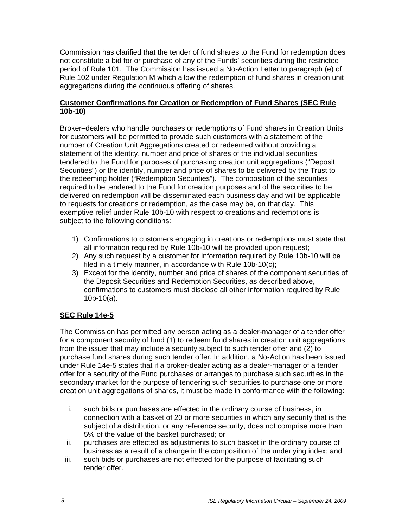Commission has clarified that the tender of fund shares to the Fund for redemption does not constitute a bid for or purchase of any of the Funds' securities during the restricted period of Rule 101. The Commission has issued a No-Action Letter to paragraph (e) of Rule 102 under Regulation M which allow the redemption of fund shares in creation unit aggregations during the continuous offering of shares.

## **Customer Confirmations for Creation or Redemption of Fund Shares (SEC Rule 10b-10)**

Broker–dealers who handle purchases or redemptions of Fund shares in Creation Units for customers will be permitted to provide such customers with a statement of the number of Creation Unit Aggregations created or redeemed without providing a statement of the identity, number and price of shares of the individual securities tendered to the Fund for purposes of purchasing creation unit aggregations ("Deposit Securities") or the identity, number and price of shares to be delivered by the Trust to the redeeming holder ("Redemption Securities"). The composition of the securities required to be tendered to the Fund for creation purposes and of the securities to be delivered on redemption will be disseminated each business day and will be applicable to requests for creations or redemption, as the case may be, on that day. This exemptive relief under Rule 10b-10 with respect to creations and redemptions is subject to the following conditions:

- 1) Confirmations to customers engaging in creations or redemptions must state that all information required by Rule 10b-10 will be provided upon request;
- 2) Any such request by a customer for information required by Rule 10b-10 will be filed in a timely manner, in accordance with Rule 10b-10(c);
- 3) Except for the identity, number and price of shares of the component securities of the Deposit Securities and Redemption Securities, as described above, confirmations to customers must disclose all other information required by Rule 10b-10(a).

# **SEC Rule 14e-5**

The Commission has permitted any person acting as a dealer-manager of a tender offer for a component security of fund (1) to redeem fund shares in creation unit aggregations from the issuer that may include a security subject to such tender offer and (2) to purchase fund shares during such tender offer. In addition, a No-Action has been issued under Rule 14e-5 states that if a broker-dealer acting as a dealer-manager of a tender offer for a security of the Fund purchases or arranges to purchase such securities in the secondary market for the purpose of tendering such securities to purchase one or more creation unit aggregations of shares, it must be made in conformance with the following:

- i. such bids or purchases are effected in the ordinary course of business, in connection with a basket of 20 or more securities in which any security that is the subject of a distribution, or any reference security, does not comprise more than 5% of the value of the basket purchased; or
- ii. purchases are effected as adjustments to such basket in the ordinary course of business as a result of a change in the composition of the underlying index; and
- iii. such bids or purchases are not effected for the purpose of facilitating such tender offer.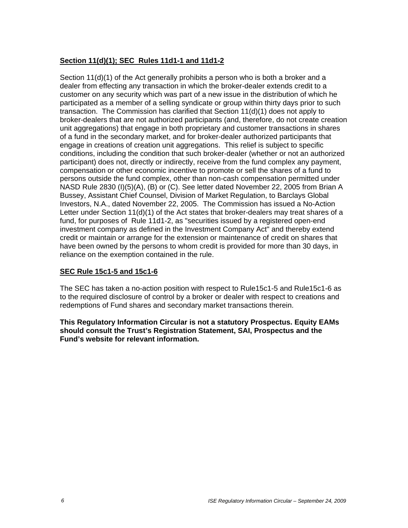## **Section 11(d)(1); SEC Rules 11d1-1 and 11d1-2**

Section 11(d)(1) of the Act generally prohibits a person who is both a broker and a dealer from effecting any transaction in which the broker-dealer extends credit to a customer on any security which was part of a new issue in the distribution of which he participated as a member of a selling syndicate or group within thirty days prior to such transaction. The Commission has clarified that Section 11(d)(1) does not apply to broker-dealers that are not authorized participants (and, therefore, do not create creation unit aggregations) that engage in both proprietary and customer transactions in shares of a fund in the secondary market, and for broker-dealer authorized participants that engage in creations of creation unit aggregations. This relief is subject to specific conditions, including the condition that such broker-dealer (whether or not an authorized participant) does not, directly or indirectly, receive from the fund complex any payment, compensation or other economic incentive to promote or sell the shares of a fund to persons outside the fund complex, other than non-cash compensation permitted under NASD Rule 2830 (I)(5)(A), (B) or (C). See letter dated November 22, 2005 from Brian A Bussey, Assistant Chief Counsel, Division of Market Regulation, to Barclays Global Investors, N.A., dated November 22, 2005. The Commission has issued a No-Action Letter under Section 11(d)(1) of the Act states that broker-dealers may treat shares of a fund, for purposes of Rule 11d1-2, as "securities issued by a registered open-end investment company as defined in the Investment Company Act" and thereby extend credit or maintain or arrange for the extension or maintenance of credit on shares that have been owned by the persons to whom credit is provided for more than 30 days, in reliance on the exemption contained in the rule.

## **SEC Rule 15c1-5 and 15c1-6**

The SEC has taken a no-action position with respect to Rule15c1-5 and Rule15c1-6 as to the required disclosure of control by a broker or dealer with respect to creations and redemptions of Fund shares and secondary market transactions therein.

**This Regulatory Information Circular is not a statutory Prospectus. Equity EAMs should consult the Trust's Registration Statement, SAI, Prospectus and the Fund's website for relevant information.**